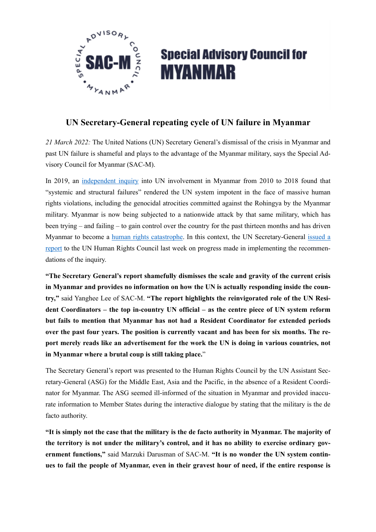

## **Special Advisory Council for MYANMAR**

## **UN Secretary-General repeating cycle of UN failure in Myanmar**

*21 March 2022:* The United Nations (UN) Secretary General's dismissal of the crisis in Myanmar and past UN failure is shameful and plays to the advantage of the Myanmar military, says the Special Advisory Council for Myanmar (SAC-M).

In 2019, an [independent inquiry](https://www.un.org/sg/sites/www.un.org.sg/files/atoms/files/Myanmar%252520Report%252520-%252520May%2525202019.pdf) into UN involvement in Myanmar from 2010 to 2018 found that "systemic and structural failures" rendered the UN system impotent in the face of massive human rights violations, including the genocidal atrocities committed against the Rohingya by the Myanmar military. Myanmar is now being subjected to a nationwide attack by that same military, which has been trying – and failing – to gain control over the country for the past thirteen months and has driven Myanmar to become a [human rights catastrophe](https://view.officeapps.live.com/op/view.aspx?src=https%25253A%25252F%25252Fwww.ohchr.org%25252Fsites%25252Fdefault%25252Ffiles%25252FHRBodies%25252FHRC%25252FRegularSessions%25252FSession48%25252FDocuments%25252FA_HRC_48_67.docx&wdOrigin=BROWSELINK). In this context, the UN Secretary-General [issued a](https://reliefweb.int/report/myanmar/brief-and-independent-inquiry-involvement-united-nations-myanmar-2010-2018-report)  [report](https://reliefweb.int/report/myanmar/brief-and-independent-inquiry-involvement-united-nations-myanmar-2010-2018-report) to the UN Human Rights Council last week on progress made in implementing the recommendations of the inquiry.

**"The Secretary General's report shamefully dismisses the scale and gravity of the current crisis in Myanmar and provides no information on how the UN is actually responding inside the country,"** said Yanghee Lee of SAC-M. **"The report highlights the reinvigorated role of the UN Resident Coordinators – the top in-country UN official – as the centre piece of UN system reform but fails to mention that Myanmar has not had a Resident Coordinator for extended periods over the past four years. The position is currently vacant and has been for six months. The report merely reads like an advertisement for the work the UN is doing in various countries, not in Myanmar where a brutal coup is still taking place.**"

The Secretary General's report was presented to the Human Rights Council by the UN Assistant Secretary-General (ASG) for the Middle East, Asia and the Pacific, in the absence of a Resident Coordinator for Myanmar. The ASG seemed ill-informed of the situation in Myanmar and provided inaccurate information to Member States during the interactive dialogue by stating that the military is the de facto authority.

**"It is simply not the case that the military is the de facto authority in Myanmar. The majority of the territory is not under the military's control, and it has no ability to exercise ordinary government functions,"** said Marzuki Darusman of SAC-M. **"It is no wonder the UN system continues to fail the people of Myanmar, even in their gravest hour of need, if the entire response is**